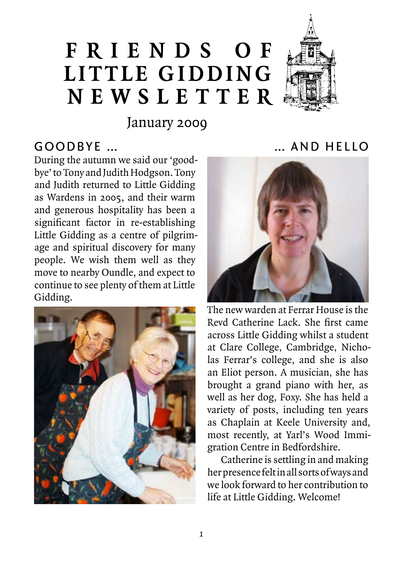# **F r i e n d s o f Little Gidding N ews l etter**



January 2009

## Goodbye …

During the autumn we said our 'goodbye' to Tony and Judith Hodgson. Tony and Judith returned to Little Gidding as Wardens in 2005, and their warm and generous hospitality has been a significant factor in re-establishing Little Gidding as a centre of pilgrimage and spiritual discovery for many people. We wish them well as they move to nearby Oundle, and expect to continue to see plenty of them at Little Gidding.



#### … and Hello



The new warden at Ferrar House is the Revd Catherine Lack. She first came across Little Gidding whilst a student at Clare College, Cambridge, Nicholas Ferrar's college, and she is also an Eliot person. A musician, she has brought a grand piano with her, as well as her dog, Foxy. She has held a variety of posts, including ten years as Chaplain at Keele University and, most recently, at Yarl's Wood Immigration Centre in Bedfordshire.

Catherine is settling in and making her presence felt in all sorts of ways and we look forward to her contribution to life at Little Gidding. Welcome!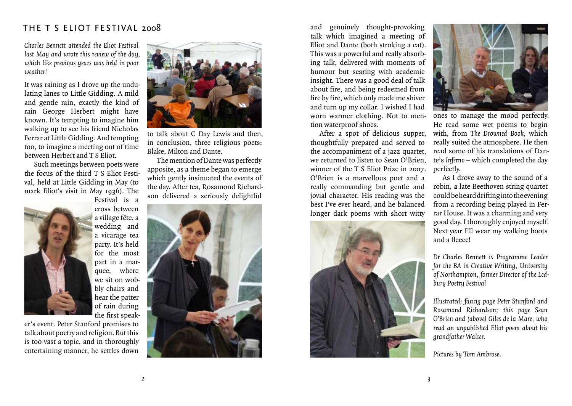#### THE T S ELIOT FESTIVAL 2008

*Charles Bennett attended the Eliot Festival last May and wrote this review of the day, which like previous years was held in poor weather!*

It was raining as I drove up the undulating lanes to Little Gidding. A mild and gentle rain, exactly the kind of rain George Herbert might have known. It's tempting to imagine him walking up to see his friend Nicholas Ferrar at Little Gidding. And tempting too, to imagine a meeting out of time between Herbert and T S Eliot.

Such meetings between poets were the focus of the third T S Eliot Festival, held at Little Gidding in May (to mark Eliot's visit in May 1936). The



Festival is a cross between a village fête, a wedding and a vicarage tea party. It's held for the most part in a marquee, where we sit on wobbly chairs and hear the patter of rain during the first speak-

er's event. Peter Stanford promises to talk about poetry and religion. But this is too vast a topic, and in thoroughly entertaining manner, he settles down



to talk about C Day Lewis and then, in conclusion, three religious poets: Blake, Milton and Dante.

The mention of Dante was perfectly apposite, as a theme began to emerge which gently insinuated the events of the day. After tea, Rosamond Richardson delivered a seriously delightful



and genuinely thought-provoking talk which imagined a meeting of Eliot and Dante (both stroking a cat). This was a powerful and really absorbing talk, delivered with moments of humour but searing with academic insight. There was a good deal of talk about fire, and being redeemed from fire by fire, which only made me shiver and turn up my collar. I wished I had worn warmer clothing. Not to mention waterproof shoes.

After a spot of delicious supper, thoughtfully prepared and served to the accompaniment of a jazz quartet, we returned to listen to Sean O'Brien. winner of the T S Eliot Prize in 2007. O'Brien is a marvellous poet and a really commanding but gentle and jovial character. His reading was the best I've ever heard, and he balanced longer dark poems with short witty





ones to manage the mood perfectly. He read some wet poems to begin with, from *The Drowned Book*, which really suited the atmosphere. He then read some of his translations of Dante's *Inferno* – which completed the day perfectly.

As I drove away to the sound of a robin, a late Beethoven string quartet could be heard drifting into the evening from a recording being played in Ferrar House. It was a charming and very good day. I thoroughly enjoyed myself. Next year I'll wear my walking boots and a fleece!

*Dr Charles Bennett is Programme Leader for the BA in Creative Writing, University of Northampton, former Director of the Ledbury Poetry Festival*

*Illustrated: facing page Peter Stanford and Rosamond Richardson; this page Sean O'Brien and (above) Giles de la Mare, who read an unpublished Eliot poem about his grandfather Walter.*

*Pictures by Tom Ambrose.*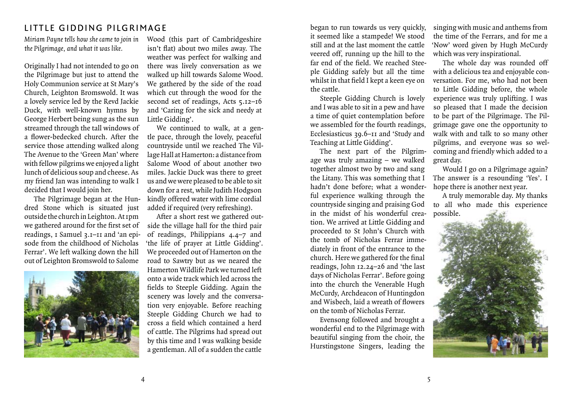## LITTLE GIDDING PILGRIMAGE

*the Pilgrimage, and what it was like.*

Originally I had not intended to go on the Pilgrimage but just to attend the Holy Communion service at St Mary's Church, Leighton Bromswold. It was a lovely service led by the Revd Jackie Duck, with well-known hymns by George Herbert being sung as the sun streamed through the tall windows of a flower-bedecked church. After the service those attending walked along The Avenue to the 'Green Man' where with fellow pilgrims we enjoyed a light lunch of delicious soup and cheese. As my friend Jan was intending to walk I decided that I would join her.

The Pilgrimage began at the Hundred Stone which is situated just outside the church in Leighton. At 1pm we gathered around for the first set of readings, 1 Samuel 3.1–11 and 'an episode from the childhood of Nicholas Ferrar'. We left walking down the hill out of Leighton Bromswold to Salome



*Miriam Payne tells how she came to join in*  Wood (this part of Cambridgeshire isn't flat) about two miles away. The weather was perfect for walking and there was lively conversation as we walked up hill towards Salome Wood. We gathered by the side of the road which cut through the wood for the second set of readings, Acts 5.12-16 and 'Caring for the sick and needy at Little Gidding'.

> We continued to walk, at a gentle pace, through the lovely, peaceful countryside until we reached The Village Hall at Hamerton: a distance from Salome Wood of about another two miles. Jackie Duck was there to greet us and we were pleased to be able to sit down for a rest, while Judith Hodgson kindly offered water with lime cordial added if required (very refreshing).

> After a short rest we gathered outside the village hall for the third pair of readings, Philippians 4.4–7 and 'the life of prayer at Little Gidding'. We proceeded out of Hamerton on the road to Sawtry but as we neared the Hamerton Wildlife Park we turned left onto a wide track which led across the fields to Steeple Gidding. Again the scenery was lovely and the conversation very enjoyable. Before reaching Steeple Gidding Church we had to cross a field which contained a herd of cattle. The Pilgrims had spread out by this time and I was walking beside a gentleman. All of a sudden the cattle

began to run towards us very quickly, it seemed like a stampede! We stood still and at the last moment the cattle veered off, running up the hill to the far end of the field. We reached Steeple Gidding safely but all the time whilst in that field I kept a keen eye on the cattle.

Steeple Gidding Church is lovely and I was able to sit in a pew and have a time of quiet contemplation before we assembled for the fourth readings, Ecclesiasticus 39.6–11 and 'Study and Teaching at Little Gidding'.

The next part of the Pilgrimage was truly amazing – we walked together almost two by two and sang the Litany. This was something that I hadn't done before; what a wonderful experience walking through the countryside singing and praising God in the midst of his wonderful creation. We arrived at Little Gidding and proceeded to St John's Church with the tomb of Nicholas Ferrar immediately in front of the entrance to the church. Here we gathered for the final readings, John 12.24–26 and 'the last days of Nicholas Ferrar'. Before going into the church the Venerable Hugh McCurdy, Archdeacon of Huntingdon and Wisbech, laid a wreath of flowers on the tomb of Nicholas Ferrar.

Evensong followed and brought a wonderful end to the Pilgrimage with beautiful singing from the choir, the Hurstingstone Singers, leading the

singing with music and anthems from the time of the Ferrars, and for me a 'Now' word given by Hugh McCurdy which was very inspirational.

The whole day was rounded off with a delicious tea and enjoyable conversation. For me, who had not been to Little Gidding before, the whole experience was truly uplifting. I was so pleased that I made the decision to be part of the Pilgrimage. The Pilgrimage gave one the opportunity to walk with and talk to so many other pilgrims, and everyone was so welcoming and friendly which added to a great day.

Would I go on a Pilgrimage again? The answer is a resounding 'Yes'. I hope there is another next year.

A truly memorable day. My thanks to all who made this experience possible.

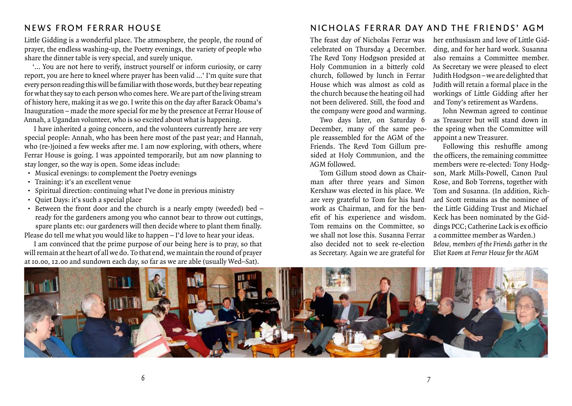## Ne ws from Ferrar House

Little Gidding is a wonderful place. The atmosphere, the people, the round of prayer, the endless washing-up, the Poetry evenings, the variety of people who share the dinner table is very special, and surely unique.

'… You are not here to verify, instruct yourself or inform curiosity, or carry report, you are here to kneel where prayer has been valid …' I'm quite sure that every person reading this will be familiar with those words, but they bear repeating for what they say to each person who comes here. We are part of the living stream of history here, making it as we go. I write this on the day after Barack Obama's Inauguration – made the more special for me by the presence at Ferrar House of Annah, a Ugandan volunteer, who is so excited about what is happening.

I have inherited a going concern, and the volunteers currently here are very special people: Annah, who has been here most of the past year; and Hannah, who (re-)joined a few weeks after me. I am now exploring, with others, where Ferrar House is going. I was appointed temporarily, but am now planning to stay longer, so the way is open. Some ideas include:

- • Musical evenings: to complement the Poetry evenings
- • Training: it's an excellent venue
- • Spiritual direction: continuing what I've done in previous ministry
- • Quiet Days: it's such a special place
- Between the front door and the church is a nearly empty (weeded) bed ready for the gardeners among you who cannot bear to throw out cuttings, spare plants etc: our gardeners will then decide where to plant them finally. Please do tell me what you would like to happen – I'd love to hear your ideas.

I am convinced that the prime purpose of our being here is to pray, so that will remain at the heart of all we do. To that end, we maintain the round of prayer at 10.00, 12.00 and sundown each day, so far as we are able (usually Wed–Sat).

## NICHOLAS FERRAR DAY AND THE FRIENDS' AGM

The feast day of Nicholas Ferrar was celebrated on Thursday 4 December. The Revd Tony Hodgson presided at Holy Communion in a bitterly cold church, followed by lunch in Ferrar House which was almost as cold as the church because the heating oil had not been delivered. Still, the food and the company were good and warming.

Two days later, on Saturday 6 December, many of the same people reassembled for the AGM of the Friends. The Revd Tom Gillum presided at Holy Communion, and the AGM followed.

Tom Gillum stood down as Chairman after three years and Simon Kershaw was elected in his place. We are very grateful to Tom for his hard work as Chairman, and for the benefit of his experience and wisdom. Tom remains on the Committee, so we shall not lose this. Susanna Ferrar also decided not to seek re-election as Secretary. Again we are grateful for

her enthusiasm and love of Little Gidding, and for her hard work. Susanna also remains a Committee member. As Secretary we were pleased to elect Judith Hodgson – we are delighted that Judith will retain a formal place in the workings of Little Gidding after her and Tony's retirement as Wardens.

John Newman agreed to continue as Treasurer but will stand down in the spring when the Committee will appoint a new Treasurer.

Following this reshuffle among the officers, the remaining committee members were re-elected: Tony Hodgson, Mark Mills-Powell, Canon Paul Rose, and Bob Torrens, together with Tom and Susanna. (In addition, Richard Scott remains as the nominee of the Little Gidding Trust and Michael Keck has been nominated by the Giddings PCC; Catherine Lack is ex officio a committee member as Warden.) *Below, members of the Friends gather in the Eliot Room at Ferrar House for the AGM*

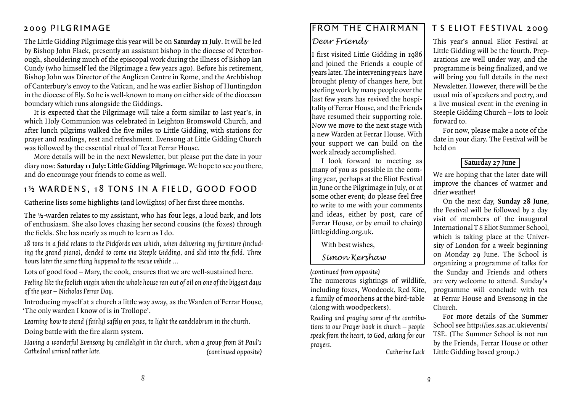## 2009 Pilgrimage

The Little Gidding Pilgrimage this year will be on **Saturday 11 July**. It will be led by Bishop John Flack, presently an assistant bishop in the diocese of Peterborough, shouldering much of the episcopal work during the illness of Bishop Ian Cundy (who himself led the Pilgrimage a few years ago). Before his retirement, Bishop John was Director of the Anglican Centre in Rome, and the Archbishop of Canterbury's envoy to the Vatican, and he was earlier Bishop of Huntingdon in the diocese of Ely. So he is well-known to many on either side of the diocesan boundary which runs alongside the Giddings.

It is expected that the Pilgrimage will take a form similar to last year's, in which Holy Communion was celebrated in Leighton Bromswold Church, and after lunch pilgrims walked the five miles to Little Gidding, with stations for prayer and readings, rest and refreshment. Evensong at Little Gidding Church was followed by the essential ritual of Tea at Ferrar House.

More details will be in the next Newsletter, but please put the date in your diary now: **Saturday 11 July: Little Gidding Pilgrimage**. We hope to see you there, and do encourage your friends to come as well.

# 1<sup>1</sup>/<sub>2</sub></sub> WARDENS, 18 TONS IN A FIELD, GOOD FOOD

Catherine lists some highlights (and lowlights) of her first three months.

The ½-warden relates to my assistant, who has four legs, a loud bark, and lots of enthusiasm. She also loves chasing her second cousins (the foxes) through the fields. She has nearly as much to learn as I do.

*18 tons in a field relates to the Pickfords van which, when delivering my furniture (including the grand piano), decided to come via Steeple Gidding, and slid into the field. Three hours later the same thing happened to the rescue vehicle …* 

Lots of good food – Mary, the cook, ensures that we are well-sustained here.

*Feeling like the foolish virgin when the whole house ran out of oil on one of the biggest days of the year – Nicholas Ferrar Day.*

Introducing myself at a church a little way away, as the Warden of Ferrar House, 'The only warden I know of is in Trollope'.

*Learning how to stand ( fairly) safely on pews, to light the candelabrum in the church.* Doing battle with the fire alarm system.

*Having a wonderful Evensong by candlelight in the church, when a group from St Paul's Cathedral arrived rather late. (continued opposite)*

## From the Chairman

#### *Dear Friends*

I first visited Little Gidding in 1986 and joined the Friends a couple of years later. The intervening years have brought plenty of changes here, but sterling work by many people over the last few years has revived the hospitality of Ferrar House, and the Friends have resumed their supporting role. Now we move to the next stage with a new Warden at Ferrar House. With your support we can build on the work already accomplished.

I look forward to meeting as many of you as possible in the coming year, perhaps at the Eliot Festival in June or the Pilgrimage in July, or at some other event; do please feel free to write to me with your comments and ideas, either by post, care of Ferrar House, or by email to chair@ littlegidding.org.uk.

With best wishes,

## *Simon Kershaw*

*(continued from opposite)*

The numerous sightings of wildlife, including foxes, Woodcock, Red Kite, a family of moorhens at the bird-table (along with woodpeckers).

*Reading and praying some of the contributions to our Prayer book in church – people speak from the heart, to God, asking for our prayers.*

*Catherine Lack*

# T S Eliot Fest ival 2009

This year's annual Eliot Festival at Little Gidding will be the fourth. Preparations are well under way, and the programme is being finalized, and we will bring you full details in the next Newsletter. However, there will be the usual mix of speakers and poetry, and a live musical event in the evening in Steeple Gidding Church – lots to look forward to.

For now, please make a note of the date in your diary. The Festival will be held on

#### **Saturday 27 June**

We are hoping that the later date will improve the chances of warmer and drier weather!

On the next day, **Sunday 28 June**, the Festival will be followed by a day visit of members of the inaugural International TS Eliot Summer School, which is taking place at the University of London for a week beginning on Monday 29 June. The School is organizing a programme of talks for the Sunday and Friends and others are very welcome to attend. Sunday's programme will conclude with tea at Ferrar House and Evensong in the Church.

For more details of the Summer School see http://ies.sas.ac.uk/events/ TSE. (The Summer School is not run by the Friends, Ferrar House or other Little Gidding based group.)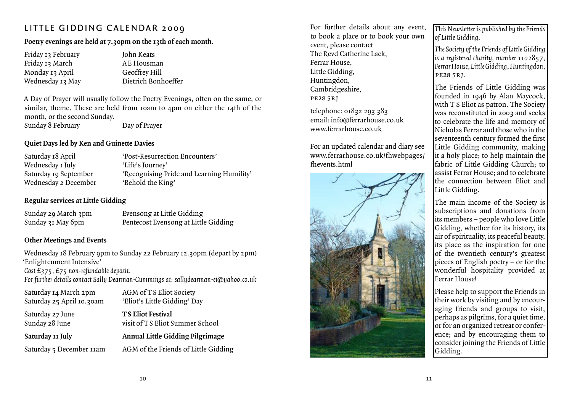# LITTLE GIDDING CALENDAR 2009

## **Poetry evenings are held at 7.30pm on the 13th of each month.**

| Friday 13 February | John Keats  |
|--------------------|-------------|
| Friday 13 March    | AE Housm    |
| Monday 13 April    | Geoffrey H  |
| Wednesday 13 May   | Dietrich Bo |
|                    |             |

fousman frey Hill ich Bonhoeffer

A Day of Prayer will usually follow the Poetry Evenings, often on the same, or similar, theme. These are held from 10am to 4pm on either the 14th of the month, or the second Sunday.

Sunday 8 February Day of Prayer

#### **Quiet Days led by Ken and Guinette Davies**

| 'Post-Resurrection Encounters'            |
|-------------------------------------------|
| 'Life's Journey'                          |
| 'Recognising Pride and Learning Humility' |
| 'Behold the King'                         |
|                                           |

#### **Regular services at Little Gidding**

| Sunday 29 March 3pm | Evensong at Little Gidding           |
|---------------------|--------------------------------------|
| Sunday 31 May 6pm   | Pentecost Evensong at Little Gidding |

## **Other Meetings and Events**

Wednesday 18 February 9pm to Sunday 22 February 12.30pm (depart by 2pm) 'Enlightenment Intensive' *Cost £375, £75 non-refundable deposit.*

*For further details contact Sally Dearman-Cummings at: sallydearman-ei@yahoo.co.uk*

Saturday 14 March 2pm AGM of TS Eliot Society Saturday 25 April 10.30am 'Eliot's Little Gidding' Day Saturday 27 June **T S Eliot Festival**

Sunday 28 June visit of TS Eliot Summer School

**Saturday 11 July Annual Little Gidding Pilgrimage**

Saturday 5 December 11am AGM of the Friends of Little Gidding

For further details about any event, to book a place or to book your own event, please contact The Revd Catherine Lack, Ferrar House, Little Gidding, Huntingdon, Cambridgeshire, pe28 5rj

telephone: 01832 293 383 email: info@ferrarhouse.co.uk www.ferrarhouse.co.uk

For an updated calendar and diary see www.ferrarhouse.co.uk/fhwebpages/ fhevents.html



*This Newsletter is published by the Friends of Little Gidding*.

*The Society of the Friends of Little Gidding is a registered charity, number 1102857, Ferrar House, Little Gidding, Huntingdon,*  pe28 5rj*.*

The Friends of Little Gidding was founded in 1946 by Alan Maycock, with T S Eliot as patron. The Society was reconstituted in 2003 and seeks to celebrate the life and memory of Nicholas Ferrar and those who in the seventeenth century formed the first Little Gidding community, making it a holy place; to help maintain the fabric of Little Gidding Church; to assist Ferrar House; and to celebrate the connection between Eliot and Little Gidding.

The main income of the Society is subscriptions and donations from its members – people who love Little Gidding, whether for its history, its air of spirituality, its peaceful beauty, its place as the inspiration for one of the twentieth century's greatest pieces of English poetry – or for the wonderful hospitality provided at Ferrar House!

Please help to support the Friends in their work by visiting and by encouraging friends and groups to visit, perhaps as pilgrims, for a quiet time, or for an organized retreat or conference; and by encouraging them to consider joining the Friends of Little Gidding.